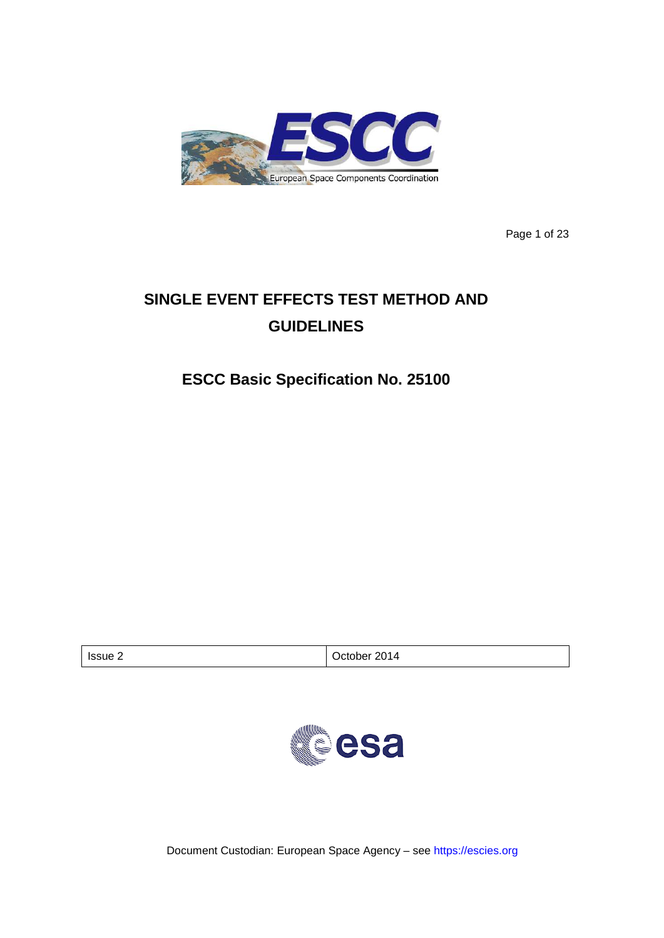

Page 1 of 23

# **SINGLE EVENT EFFECTS TEST METHOD AND GUIDELINES**

## **ESCC Basic Specification No. 25100**

| Issue 2<br>⊃ctober |  | 2014 |
|--------------------|--|------|
|--------------------|--|------|



Document Custodian: European Space Agency – see [https://escies.org](https://escies.org/)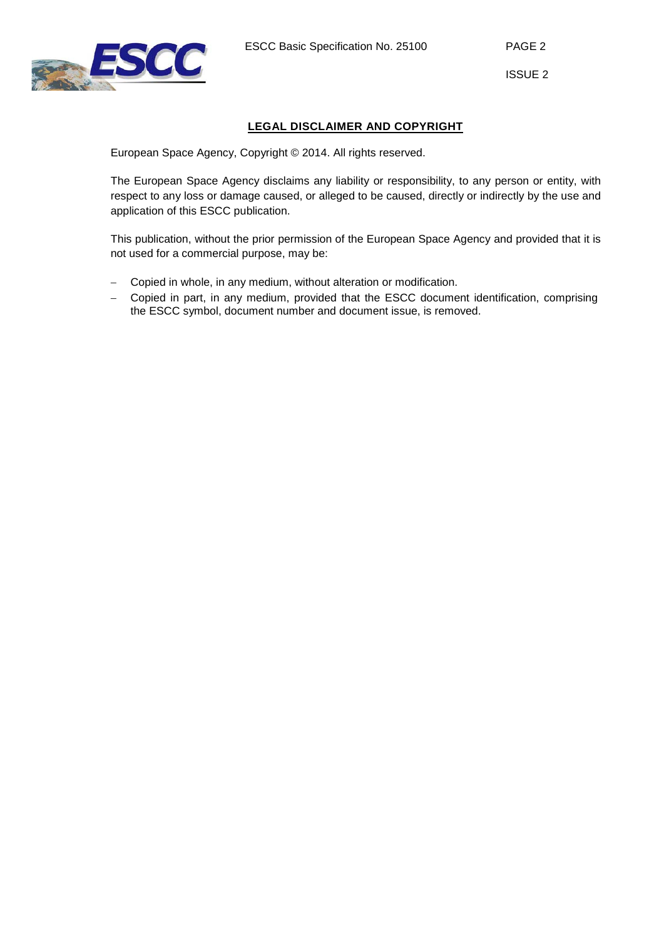

## **LEGAL DISCLAIMER AND COPYRIGHT**

European Space Agency, Copyright © 2014. All rights reserved.

The European Space Agency disclaims any liability or responsibility, to any person or entity, with respect to any loss or damage caused, or alleged to be caused, directly or indirectly by the use and application of this ESCC publication.

This publication, without the prior permission of the European Space Agency and provided that it is not used for a commercial purpose, may be:

- − Copied in whole, in any medium, without alteration or modification.
- − Copied in part, in any medium, provided that the ESCC document identification, comprising the ESCC symbol, document number and document issue, is removed.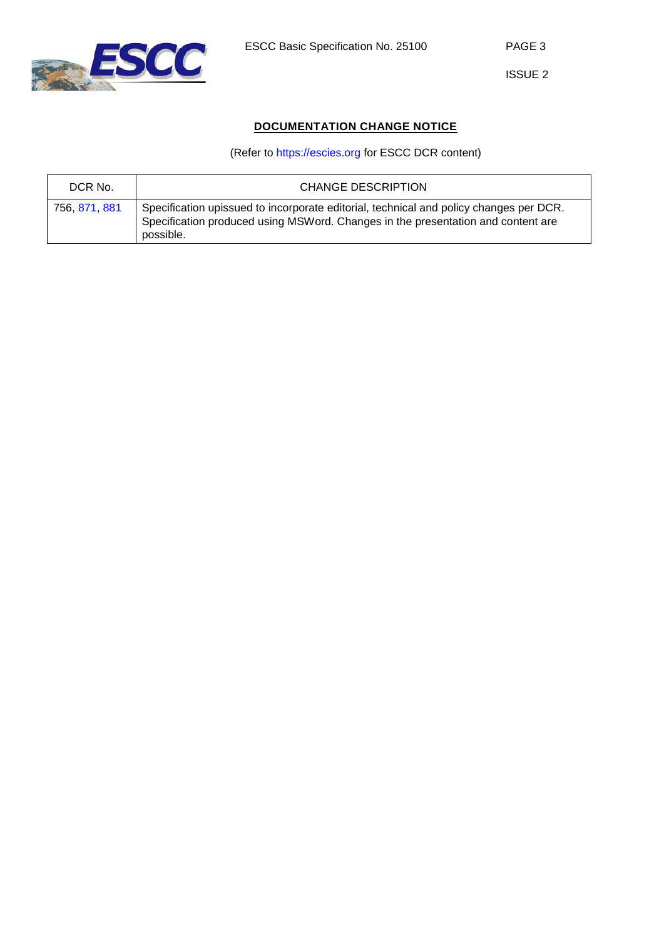

## **DOCUMENTATION CHANGE NOTICE**

## (Refer to [https://escies.org](https://escies.org/) for ESCC DCR content)

| DCR No.       | <b>CHANGE DESCRIPTION</b>                                                                                                                                                               |
|---------------|-----------------------------------------------------------------------------------------------------------------------------------------------------------------------------------------|
| 756, 871, 881 | Specification upissued to incorporate editorial, technical and policy changes per DCR.<br>Specification produced using MSWord. Changes in the presentation and content are<br>possible. |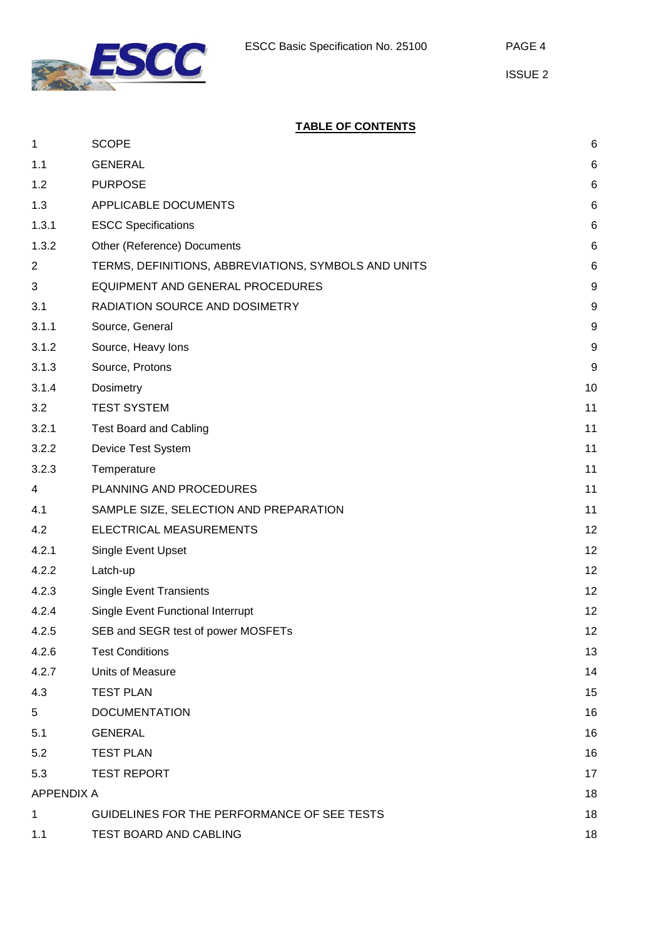

## **TABLE OF CONTENTS**

| 1                 | <b>SCOPE</b>                                         | 6                |
|-------------------|------------------------------------------------------|------------------|
| 1.1               | <b>GENERAL</b>                                       | $\,6$            |
| 1.2               | <b>PURPOSE</b>                                       | $\,6$            |
| 1.3               | APPLICABLE DOCUMENTS                                 | $\,6$            |
| 1.3.1             | <b>ESCC Specifications</b>                           | 6                |
| 1.3.2             | Other (Reference) Documents                          | $\,6$            |
| $\overline{c}$    | TERMS, DEFINITIONS, ABBREVIATIONS, SYMBOLS AND UNITS | $\,6$            |
| 3                 | EQUIPMENT AND GENERAL PROCEDURES                     | $\boldsymbol{9}$ |
| 3.1               | RADIATION SOURCE AND DOSIMETRY                       | $\boldsymbol{9}$ |
| 3.1.1             | Source, General                                      | $\boldsymbol{9}$ |
| 3.1.2             | Source, Heavy lons                                   | $\boldsymbol{9}$ |
| 3.1.3             | Source, Protons                                      | $\boldsymbol{9}$ |
| 3.1.4             | Dosimetry                                            | 10               |
| 3.2               | <b>TEST SYSTEM</b>                                   | 11               |
| 3.2.1             | <b>Test Board and Cabling</b>                        | 11               |
| 3.2.2             | Device Test System                                   | 11               |
| 3.2.3             | Temperature                                          | 11               |
| 4                 | PLANNING AND PROCEDURES                              | 11               |
| 4.1               | SAMPLE SIZE, SELECTION AND PREPARATION               | 11               |
| 4.2               | ELECTRICAL MEASUREMENTS                              | 12               |
| 4.2.1             | Single Event Upset                                   | 12               |
| 4.2.2             | Latch-up                                             | 12               |
| 4.2.3             | <b>Single Event Transients</b>                       | 12               |
| 4.2.4             | <b>Single Event Functional Interrupt</b>             | 12               |
| 4.2.5             | SEB and SEGR test of power MOSFETs                   | 12               |
| 4.2.6             | <b>Test Conditions</b>                               | 13               |
| 4.2.7             | Units of Measure                                     | 14               |
| 4.3               | <b>TEST PLAN</b>                                     | 15               |
| 5                 | <b>DOCUMENTATION</b>                                 | 16               |
| 5.1               | <b>GENERAL</b>                                       | 16               |
| 5.2               | <b>TEST PLAN</b>                                     | 16               |
| 5.3               | <b>TEST REPORT</b>                                   | 17               |
| <b>APPENDIX A</b> |                                                      | 18               |
| 1                 | GUIDELINES FOR THE PERFORMANCE OF SEE TESTS          | 18               |
| 1.1               | TEST BOARD AND CABLING                               | 18               |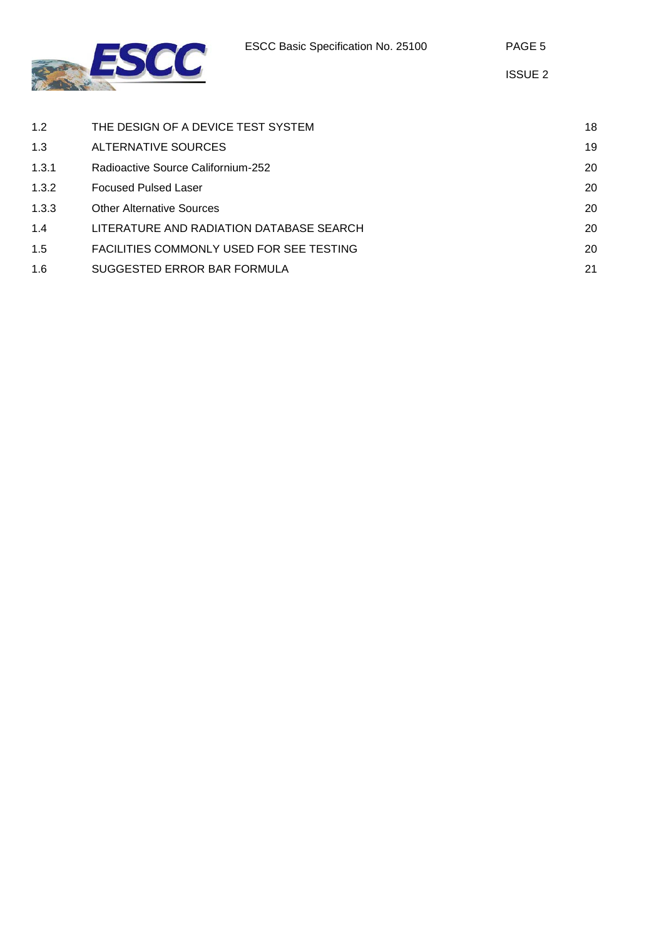



| 1.2   | THE DESIGN OF A DEVICE TEST SYSTEM.      | 18 |
|-------|------------------------------------------|----|
| 1.3   | ALTERNATIVE SOURCES                      | 19 |
| 1.3.1 | Radioactive Source Californium-252       | 20 |
| 1.3.2 | <b>Focused Pulsed Laser</b>              | 20 |
| 1.3.3 | <b>Other Alternative Sources</b>         | 20 |
| 1.4   | LITERATURE AND RADIATION DATABASE SEARCH | 20 |
| 1.5   | FACILITIES COMMONLY USED FOR SEE TESTING | 20 |
| 1.6   | SUGGESTED ERROR BAR FORMULA              | 21 |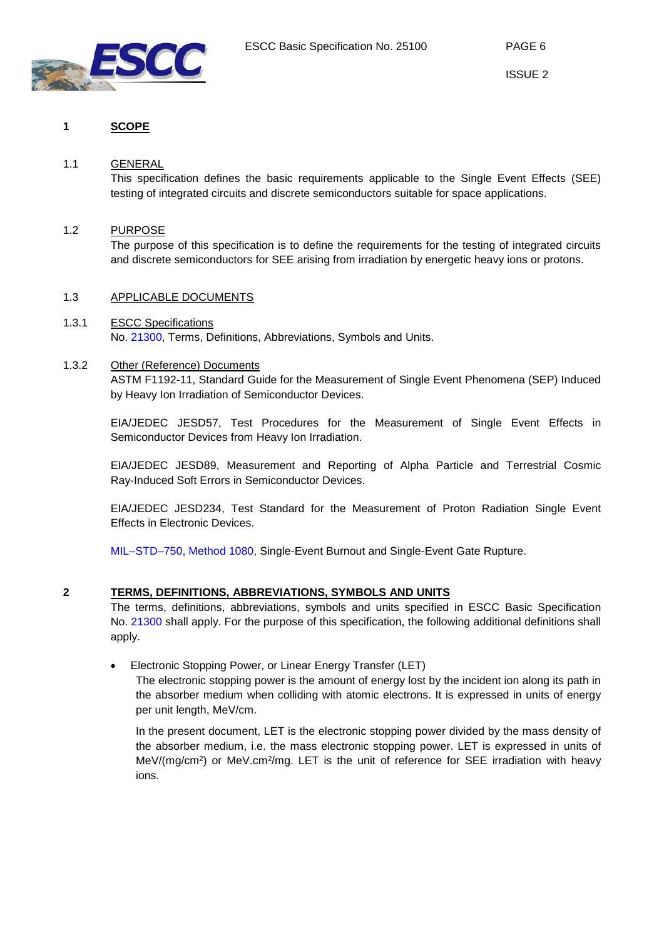

## <span id="page-5-0"></span>**1 SCOPE**

#### 1.1 GENERAL

<span id="page-5-1"></span>This specification defines the basic requirements applicable to the Single Event Effects (SEE) testing of integrated circuits and discrete semiconductors suitable for space applications.

## 1.2 PURPOSE

<span id="page-5-3"></span><span id="page-5-2"></span>The purpose of this specification is to define the requirements for the testing of integrated circuits and discrete semiconductors for SEE arising from irradiation by energetic heavy ions or protons.

## 1.3 APPLICABLE DOCUMENTS

#### <span id="page-5-4"></span>1.3.1 ESCC Specifications No. [21300,](http://escies.org/escc-specs/published/21300.pdf) Terms, Definitions, Abbreviations, Symbols and Units.

## 1.3.2 Other (Reference) Documents

<span id="page-5-5"></span>ASTM F1192-11, Standard Guide for the Measurement of Single Event Phenomena (SEP) Induced by Heavy Ion Irradiation of Semiconductor Devices.

EIA/JEDEC JESD57, Test Procedures for the Measurement of Single Event Effects in Semiconductor Devices from Heavy Ion Irradiation.

EIA/JEDEC JESD89, Measurement and Reporting of Alpha Particle and Terrestrial Cosmic Ray-Induced Soft Errors in Semiconductor Devices.

EIA/JEDEC JESD234, Test Standard for the Measurement of Proton Radiation Single Event Effects in Electronic Devices.

<span id="page-5-6"></span>[MIL–STD–750, Method 1080,](http://www.landandmaritime.dla.mil/Downloads/MilSpec/Docs/MIL-STD-750/std750part1.pdf) Single-Event Burnout and Single-Event Gate Rupture.

## **2 TERMS, DEFINITIONS, ABBREVIATIONS, SYMBOLS AND UNITS**

The terms, definitions, abbreviations, symbols and units specified in ESCC Basic Specification No. [21300](http://escies.org/escc-specs/published/21300.pdf) shall apply. For the purpose of this specification, the following additional definitions shall apply.

## • Electronic Stopping Power, or Linear Energy Transfer (LET)

The electronic stopping power is the amount of energy lost by the incident ion along its path in the absorber medium when colliding with atomic electrons. It is expressed in units of energy per unit length, MeV/cm.

In the present document, LET is the electronic stopping power divided by the mass density of the absorber medium, i.e. the mass electronic stopping power. LET is expressed in units of MeV/(mg/cm<sup>2</sup>) or MeV.cm<sup>2</sup>/mg. LET is the unit of reference for SEE irradiation with heavy ions.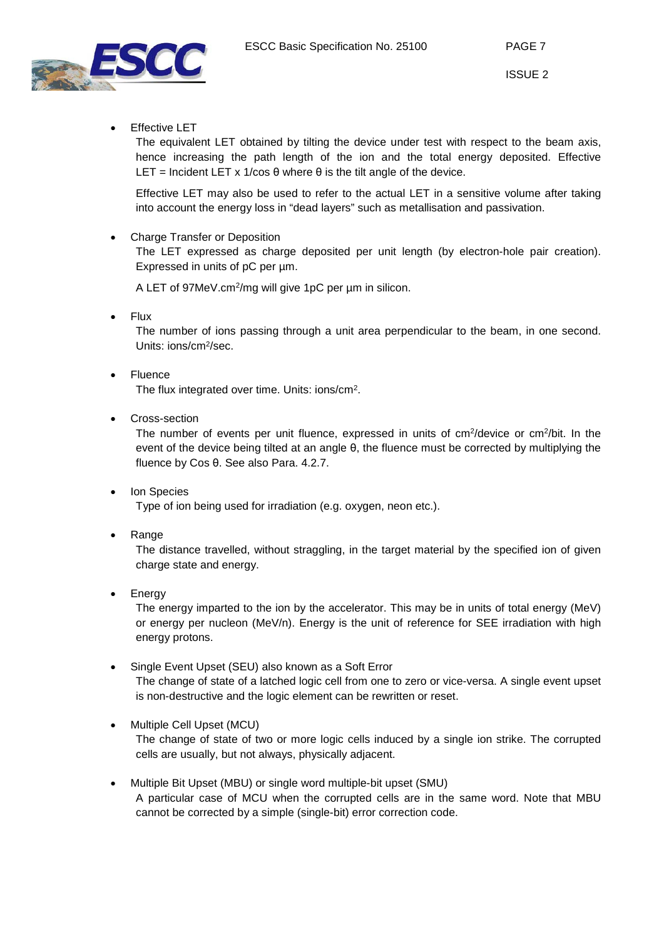



**Effective LET** 

The equivalent LET obtained by tilting the device under test with respect to the beam axis, hence increasing the path length of the ion and the total energy deposited. Effective LET = Incident LET x 1/cos  $\theta$  where  $\theta$  is the tilt angle of the device.

Effective LET may also be used to refer to the actual LET in a sensitive volume after taking into account the energy loss in "dead layers" such as metallisation and passivation.

• Charge Transfer or Deposition

The LET expressed as charge deposited per unit length (by electron-hole pair creation). Expressed in units of pC per um.

A LET of 97MeV.cm<sup>2</sup>/mg will give 1pC per um in silicon.

• Flux

The number of ions passing through a unit area perpendicular to the beam, in one second. Units: ions/cm2/sec.

- Fluence The flux integrated over time. Units: ions/cm2.
- Cross-section

The number of events per unit fluence, expressed in units of cm<sup>2</sup>/device or cm<sup>2</sup>/bit. In the event of the device being tilted at an angle θ, the fluence must be corrected by multiplying the fluence by Cos θ. See also Para. [4.2.7.](#page-13-0)

- Ion Species Type of ion being used for irradiation (e.g. oxygen, neon etc.).
- **Range**

The distance travelled, without straggling, in the target material by the specified ion of given charge state and energy.

**Energy** 

The energy imparted to the ion by the accelerator. This may be in units of total energy (MeV) or energy per nucleon (MeV/n). Energy is the unit of reference for SEE irradiation with high energy protons.

- Single Event Upset (SEU) also known as a Soft Error The change of state of a latched logic cell from one to zero or vice-versa. A single event upset is non-destructive and the logic element can be rewritten or reset.
- Multiple Cell Upset (MCU) The change of state of two or more logic cells induced by a single ion strike. The corrupted cells are usually, but not always, physically adjacent.
- Multiple Bit Upset (MBU) or single word multiple-bit upset (SMU) A particular case of MCU when the corrupted cells are in the same word. Note that MBU cannot be corrected by a simple (single-bit) error correction code.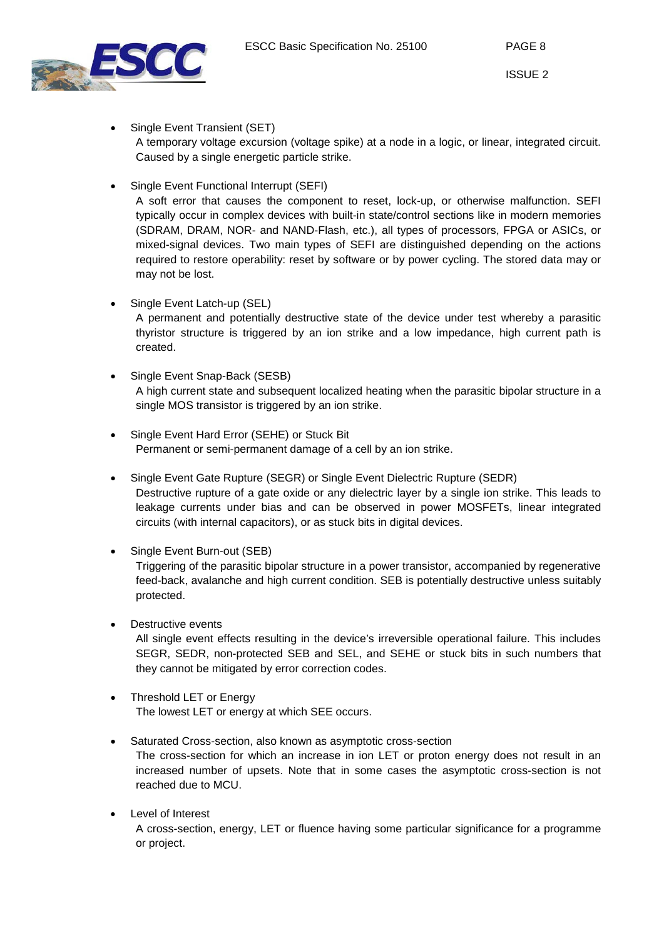

- Single Event Transient (SET) A temporary voltage excursion (voltage spike) at a node in a logic, or linear, integrated circuit. Caused by a single energetic particle strike.
- Single Event Functional Interrupt (SEFI)

A soft error that causes the component to reset, lock-up, or otherwise malfunction. SEFI typically occur in complex devices with built-in state/control sections like in modern memories (SDRAM, DRAM, NOR- and NAND-Flash, etc.), all types of processors, FPGA or ASICs, or mixed-signal devices. Two main types of SEFI are distinguished depending on the actions required to restore operability: reset by software or by power cycling. The stored data may or may not be lost.

• Single Event Latch-up (SEL)

A permanent and potentially destructive state of the device under test whereby a parasitic thyristor structure is triggered by an ion strike and a low impedance, high current path is created.

- Single Event Snap-Back (SESB) A high current state and subsequent localized heating when the parasitic bipolar structure in a single MOS transistor is triggered by an ion strike.
- Single Event Hard Error (SEHE) or Stuck Bit Permanent or semi-permanent damage of a cell by an ion strike.
- Single Event Gate Rupture (SEGR) or Single Event Dielectric Rupture (SEDR) Destructive rupture of a gate oxide or any dielectric layer by a single ion strike. This leads to leakage currents under bias and can be observed in power MOSFETs, linear integrated circuits (with internal capacitors), or as stuck bits in digital devices.
- Single Event Burn-out (SEB) Triggering of the parasitic bipolar structure in a power transistor, accompanied by regenerative feed-back, avalanche and high current condition. SEB is potentially destructive unless suitably protected.
- Destructive events All single event effects resulting in the device's irreversible operational failure. This includes SEGR, SEDR, non-protected SEB and SEL, and SEHE or stuck bits in such numbers that they cannot be mitigated by error correction codes.
- Threshold LET or Energy The lowest LET or energy at which SEE occurs.
- Saturated Cross-section, also known as asymptotic cross-section

The cross-section for which an increase in ion LET or proton energy does not result in an increased number of upsets. Note that in some cases the asymptotic cross-section is not reached due to MCU.

Level of Interest

A cross-section, energy, LET or fluence having some particular significance for a programme or project.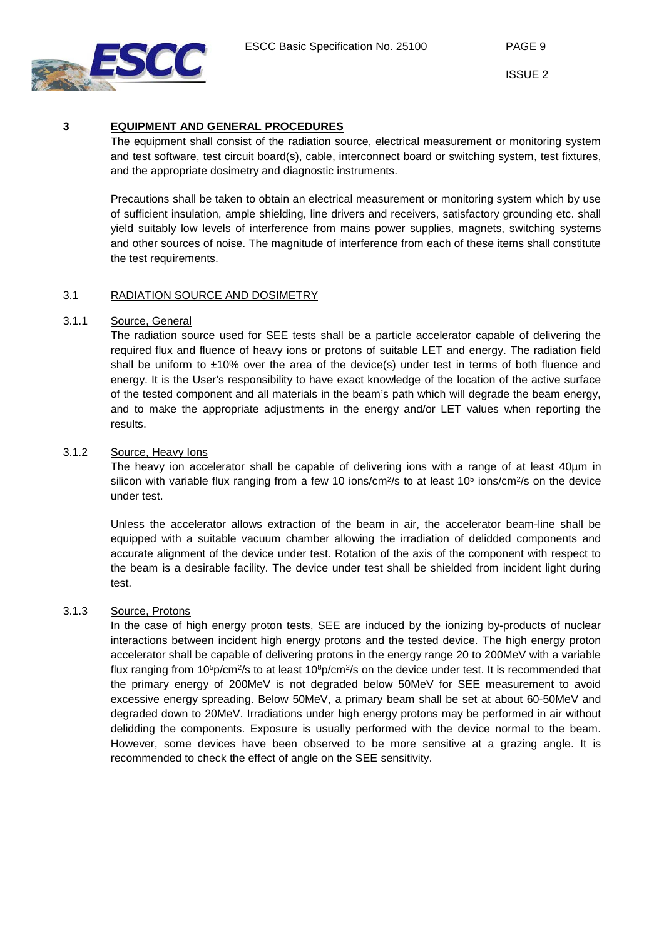



## **3 EQUIPMENT AND GENERAL PROCEDURES**

<span id="page-8-0"></span>The equipment shall consist of the radiation source, electrical measurement or monitoring system and test software, test circuit board(s), cable, interconnect board or switching system, test fixtures, and the appropriate dosimetry and diagnostic instruments.

Precautions shall be taken to obtain an electrical measurement or monitoring system which by use of sufficient insulation, ample shielding, line drivers and receivers, satisfactory grounding etc. shall yield suitably low levels of interference from mains power supplies, magnets, switching systems and other sources of noise. The magnitude of interference from each of these items shall constitute the test requirements.

## <span id="page-8-1"></span>3.1 RADIATION SOURCE AND DOSIMETRY

## 3.1.1 Source, General

<span id="page-8-2"></span>The radiation source used for SEE tests shall be a particle accelerator capable of delivering the required flux and fluence of heavy ions or protons of suitable LET and energy. The radiation field shall be uniform to  $\pm 10\%$  over the area of the device(s) under test in terms of both fluence and energy. It is the User's responsibility to have exact knowledge of the location of the active surface of the tested component and all materials in the beam's path which will degrade the beam energy, and to make the appropriate adjustments in the energy and/or LET values when reporting the results.

## 3.1.2 Source, Heavy Ions

<span id="page-8-3"></span>The heavy ion accelerator shall be capable of delivering ions with a range of at least 40µm in silicon with variable flux ranging from a few 10 ions/cm<sup>2</sup>/s to at least  $10<sup>5</sup>$  ions/cm<sup>2</sup>/s on the device under test.

Unless the accelerator allows extraction of the beam in air, the accelerator beam-line shall be equipped with a suitable vacuum chamber allowing the irradiation of delidded components and accurate alignment of the device under test. Rotation of the axis of the component with respect to the beam is a desirable facility. The device under test shall be shielded from incident light during test.

## 3.1.3 Source, Protons

<span id="page-8-4"></span>In the case of high energy proton tests, SEE are induced by the ionizing by-products of nuclear interactions between incident high energy protons and the tested device. The high energy proton accelerator shall be capable of delivering protons in the energy range 20 to 200MeV with a variable flux ranging from 10<sup>5</sup>p/cm<sup>2</sup>/s to at least 10<sup>8</sup>p/cm<sup>2</sup>/s on the device under test. It is recommended that the primary energy of 200MeV is not degraded below 50MeV for SEE measurement to avoid excessive energy spreading. Below 50MeV, a primary beam shall be set at about 60-50MeV and degraded down to 20MeV. Irradiations under high energy protons may be performed in air without delidding the components. Exposure is usually performed with the device normal to the beam. However, some devices have been observed to be more sensitive at a grazing angle. It is recommended to check the effect of angle on the SEE sensitivity.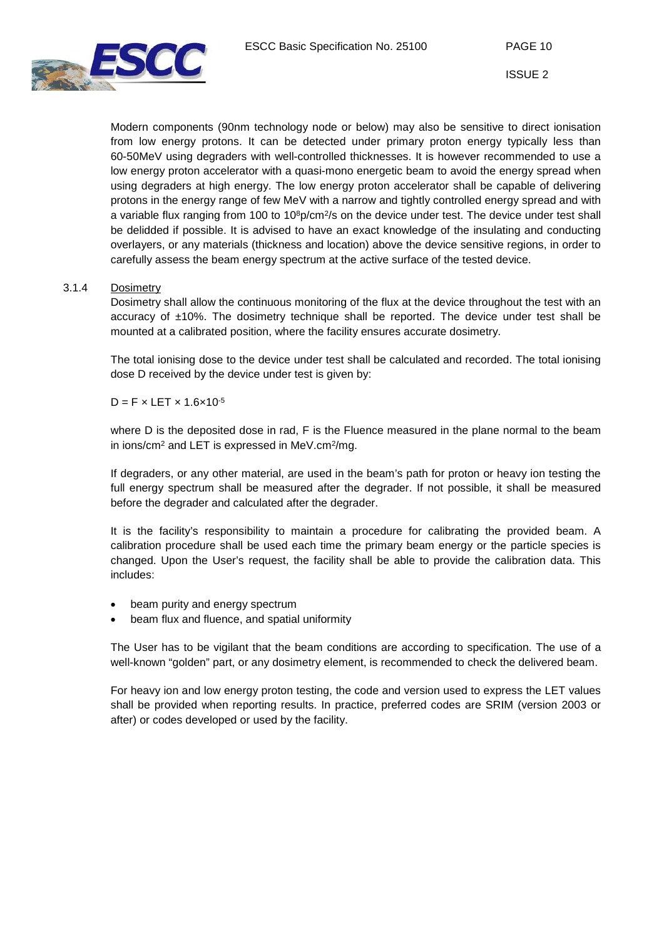

Modern components (90nm technology node or below) may also be sensitive to direct ionisation from low energy protons. It can be detected under primary proton energy typically less than 60-50MeV using degraders with well-controlled thicknesses. It is however recommended to use a low energy proton accelerator with a quasi-mono energetic beam to avoid the energy spread when using degraders at high energy. The low energy proton accelerator shall be capable of delivering protons in the energy range of few MeV with a narrow and tightly controlled energy spread and with a variable flux ranging from 100 to  $10<sup>8</sup>p/cm<sup>2</sup>/s$  on the device under test. The device under test shall be delidded if possible. It is advised to have an exact knowledge of the insulating and conducting overlayers, or any materials (thickness and location) above the device sensitive regions, in order to carefully assess the beam energy spectrum at the active surface of the tested device.

#### 3.1.4 Dosimetry

<span id="page-9-0"></span>Dosimetry shall allow the continuous monitoring of the flux at the device throughout the test with an accuracy of  $±10\%$ . The dosimetry technique shall be reported. The device under test shall be mounted at a calibrated position, where the facility ensures accurate dosimetry.

The total ionising dose to the device under test shall be calculated and recorded. The total ionising dose D received by the device under test is given by:

 $D = F \times LET \times 1.6 \times 10^{-5}$ 

where D is the deposited dose in rad, F is the Fluence measured in the plane normal to the beam in ions/cm<sup>2</sup> and LET is expressed in MeV.cm<sup>2</sup>/mg.

If degraders, or any other material, are used in the beam's path for proton or heavy ion testing the full energy spectrum shall be measured after the degrader. If not possible, it shall be measured before the degrader and calculated after the degrader.

It is the facility's responsibility to maintain a procedure for calibrating the provided beam. A calibration procedure shall be used each time the primary beam energy or the particle species is changed. Upon the User's request, the facility shall be able to provide the calibration data. This includes:

- beam purity and energy spectrum
- beam flux and fluence, and spatial uniformity

The User has to be vigilant that the beam conditions are according to specification. The use of a well-known "golden" part, or any dosimetry element, is recommended to check the delivered beam.

For heavy ion and low energy proton testing, the code and version used to express the LET values shall be provided when reporting results. In practice, preferred codes are SRIM (version 2003 or after) or codes developed or used by the facility.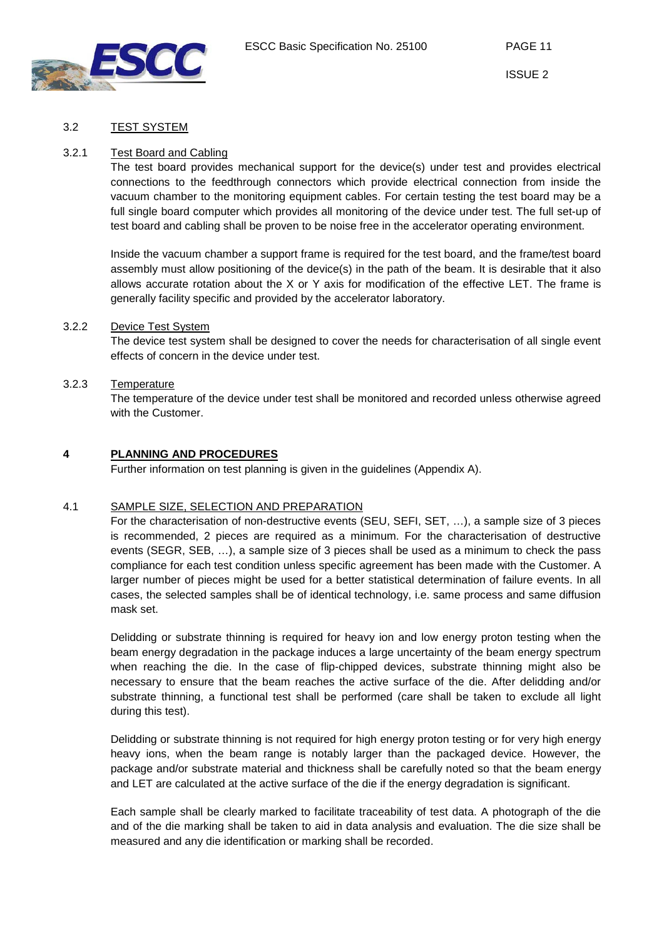

#### 3.2 TEST SYSTEM

#### 3.2.1 Test Board and Cabling

<span id="page-10-1"></span><span id="page-10-0"></span>The test board provides mechanical support for the device(s) under test and provides electrical connections to the feedthrough connectors which provide electrical connection from inside the vacuum chamber to the monitoring equipment cables. For certain testing the test board may be a full single board computer which provides all monitoring of the device under test. The full set-up of test board and cabling shall be proven to be noise free in the accelerator operating environment.

Inside the vacuum chamber a support frame is required for the test board, and the frame/test board assembly must allow positioning of the device(s) in the path of the beam. It is desirable that it also allows accurate rotation about the X or Y axis for modification of the effective LET. The frame is generally facility specific and provided by the accelerator laboratory.

#### 3.2.2 Device Test System

<span id="page-10-2"></span>The device test system shall be designed to cover the needs for characterisation of all single event effects of concern in the device under test.

#### <span id="page-10-3"></span>3.2.3 Temperature

The temperature of the device under test shall be monitored and recorded unless otherwise agreed with the Customer.

#### **4 PLANNING AND PROCEDURES**

<span id="page-10-4"></span>Further information on test planning is given in the guidelines (Appendix A).

#### 4.1 SAMPLE SIZE, SELECTION AND PREPARATION

<span id="page-10-5"></span>For the characterisation of non-destructive events (SEU, SEFI, SET, …), a sample size of 3 pieces is recommended, 2 pieces are required as a minimum. For the characterisation of destructive events (SEGR, SEB, …), a sample size of 3 pieces shall be used as a minimum to check the pass compliance for each test condition unless specific agreement has been made with the Customer. A larger number of pieces might be used for a better statistical determination of failure events. In all cases, the selected samples shall be of identical technology, i.e. same process and same diffusion mask set.

Delidding or substrate thinning is required for heavy ion and low energy proton testing when the beam energy degradation in the package induces a large uncertainty of the beam energy spectrum when reaching the die. In the case of flip-chipped devices, substrate thinning might also be necessary to ensure that the beam reaches the active surface of the die. After delidding and/or substrate thinning, a functional test shall be performed (care shall be taken to exclude all light during this test).

Delidding or substrate thinning is not required for high energy proton testing or for very high energy heavy ions, when the beam range is notably larger than the packaged device. However, the package and/or substrate material and thickness shall be carefully noted so that the beam energy and LET are calculated at the active surface of the die if the energy degradation is significant.

Each sample shall be clearly marked to facilitate traceability of test data. A photograph of the die and of the die marking shall be taken to aid in data analysis and evaluation. The die size shall be measured and any die identification or marking shall be recorded.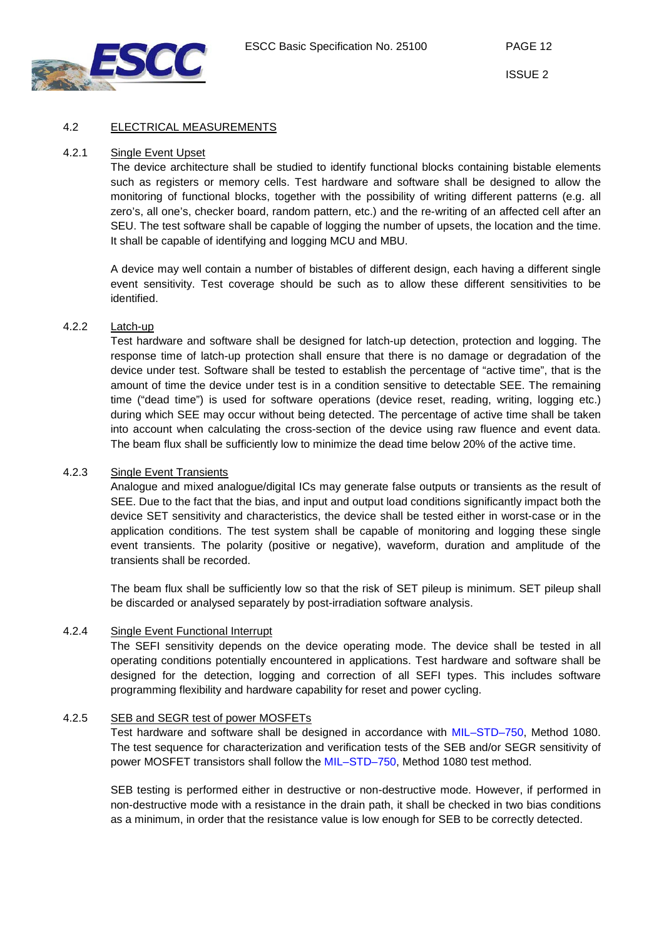

#### 4.2 ELECTRICAL MEASUREMENTS

#### 4.2.1 Single Event Upset

<span id="page-11-1"></span><span id="page-11-0"></span>The device architecture shall be studied to identify functional blocks containing bistable elements such as registers or memory cells. Test hardware and software shall be designed to allow the monitoring of functional blocks, together with the possibility of writing different patterns (e.g. all zero's, all one's, checker board, random pattern, etc.) and the re-writing of an affected cell after an SEU. The test software shall be capable of logging the number of upsets, the location and the time. It shall be capable of identifying and logging MCU and MBU.

A device may well contain a number of bistables of different design, each having a different single event sensitivity. Test coverage should be such as to allow these different sensitivities to be identified.

## 4.2.2 Latch-up

<span id="page-11-2"></span>Test hardware and software shall be designed for latch-up detection, protection and logging. The response time of latch-up protection shall ensure that there is no damage or degradation of the device under test. Software shall be tested to establish the percentage of "active time", that is the amount of time the device under test is in a condition sensitive to detectable SEE. The remaining time ("dead time") is used for software operations (device reset, reading, writing, logging etc.) during which SEE may occur without being detected. The percentage of active time shall be taken into account when calculating the cross-section of the device using raw fluence and event data. The beam flux shall be sufficiently low to minimize the dead time below 20% of the active time.

#### <span id="page-11-3"></span>4.2.3 Single Event Transients

Analogue and mixed analogue/digital ICs may generate false outputs or transients as the result of SEE. Due to the fact that the bias, and input and output load conditions significantly impact both the device SET sensitivity and characteristics, the device shall be tested either in worst-case or in the application conditions. The test system shall be capable of monitoring and logging these single event transients. The polarity (positive or negative), waveform, duration and amplitude of the transients shall be recorded.

The beam flux shall be sufficiently low so that the risk of SET pileup is minimum. SET pileup shall be discarded or analysed separately by post-irradiation software analysis.

#### 4.2.4 Single Event Functional Interrupt

<span id="page-11-4"></span>The SEFI sensitivity depends on the device operating mode. The device shall be tested in all operating conditions potentially encountered in applications. Test hardware and software shall be designed for the detection, logging and correction of all SEFI types. This includes software programming flexibility and hardware capability for reset and power cycling.

#### 4.2.5 SEB and SEGR test of power MOSFETs

<span id="page-11-5"></span>Test hardware and software shall be designed in accordance with [MIL–STD–750,](http://www.landandmaritime.dla.mil/Downloads/MilSpec/Docs/MIL-STD-750/std750part1.pdf) Method 1080. The test sequence for characterization and verification tests of the SEB and/or SEGR sensitivity of power MOSFET transistors shall follow the [MIL–STD–750,](http://www.landandmaritime.dla.mil/Downloads/MilSpec/Docs/MIL-STD-750/std750part1.pdf) Method 1080 test method.

SEB testing is performed either in destructive or non-destructive mode. However, if performed in non-destructive mode with a resistance in the drain path, it shall be checked in two bias conditions as a minimum, in order that the resistance value is low enough for SEB to be correctly detected.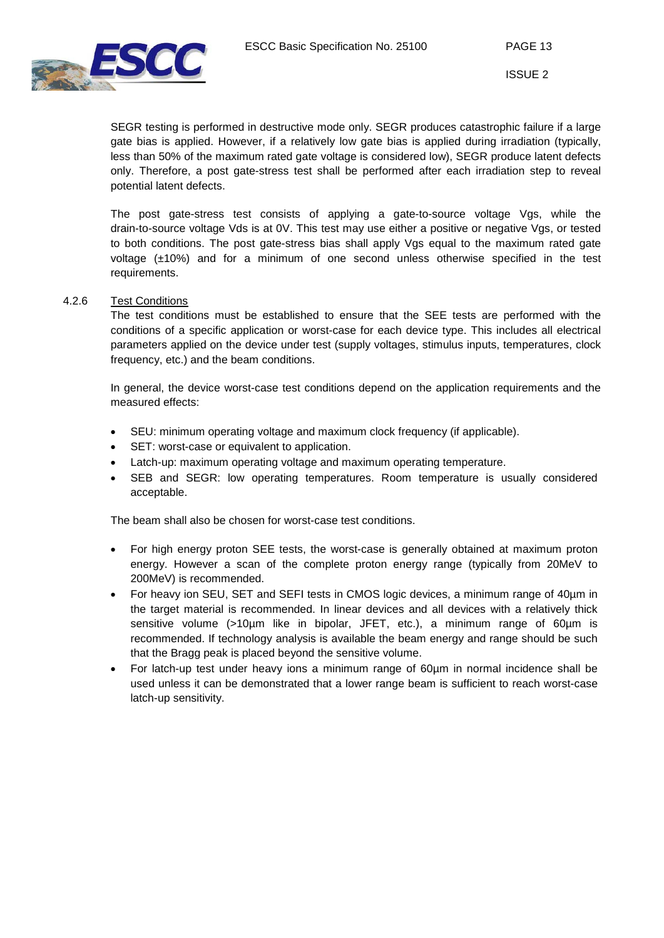

SEGR testing is performed in destructive mode only. SEGR produces catastrophic failure if a large gate bias is applied. However, if a relatively low gate bias is applied during irradiation (typically, less than 50% of the maximum rated gate voltage is considered low), SEGR produce latent defects only. Therefore, a post gate-stress test shall be performed after each irradiation step to reveal potential latent defects.

The post gate-stress test consists of applying a gate-to-source voltage Vgs, while the drain-to-source voltage Vds is at 0V. This test may use either a positive or negative Vgs, or tested to both conditions. The post gate-stress bias shall apply Vgs equal to the maximum rated gate voltage (±10%) and for a minimum of one second unless otherwise specified in the test requirements.

#### 4.2.6 Test Conditions

<span id="page-12-0"></span>The test conditions must be established to ensure that the SEE tests are performed with the conditions of a specific application or worst-case for each device type. This includes all electrical parameters applied on the device under test (supply voltages, stimulus inputs, temperatures, clock frequency, etc.) and the beam conditions.

In general, the device worst-case test conditions depend on the application requirements and the measured effects:

- SEU: minimum operating voltage and maximum clock frequency (if applicable).
- SET: worst-case or equivalent to application.
- Latch-up: maximum operating voltage and maximum operating temperature.
- SEB and SEGR: low operating temperatures. Room temperature is usually considered acceptable.

The beam shall also be chosen for worst-case test conditions.

- For high energy proton SEE tests, the worst-case is generally obtained at maximum proton energy. However a scan of the complete proton energy range (typically from 20MeV to 200MeV) is recommended.
- For heavy ion SEU, SET and SEFI tests in CMOS logic devices, a minimum range of 40µm in the target material is recommended. In linear devices and all devices with a relatively thick sensitive volume (>10µm like in bipolar, JFET, etc.), a minimum range of 60µm is recommended. If technology analysis is available the beam energy and range should be such that the Bragg peak is placed beyond the sensitive volume.
- For latch-up test under heavy ions a minimum range of 60µm in normal incidence shall be used unless it can be demonstrated that a lower range beam is sufficient to reach worst-case latch-up sensitivity.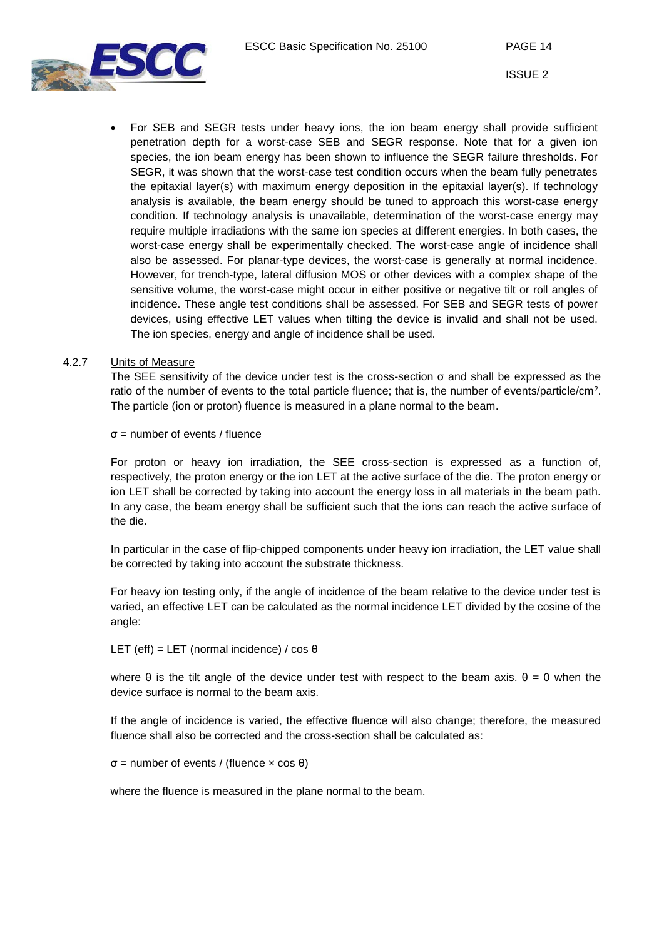

• For SEB and SEGR tests under heavy ions, the ion beam energy shall provide sufficient penetration depth for a worst-case SEB and SEGR response. Note that for a given ion species, the ion beam energy has been shown to influence the SEGR failure thresholds. For SEGR, it was shown that the worst-case test condition occurs when the beam fully penetrates the epitaxial layer(s) with maximum energy deposition in the epitaxial layer(s). If technology analysis is available, the beam energy should be tuned to approach this worst-case energy condition. If technology analysis is unavailable, determination of the worst-case energy may require multiple irradiations with the same ion species at different energies. In both cases, the worst-case energy shall be experimentally checked. The worst-case angle of incidence shall also be assessed. For planar-type devices, the worst-case is generally at normal incidence. However, for trench-type, lateral diffusion MOS or other devices with a complex shape of the sensitive volume, the worst-case might occur in either positive or negative tilt or roll angles of incidence. These angle test conditions shall be assessed. For SEB and SEGR tests of power devices, using effective LET values when tilting the device is invalid and shall not be used. The ion species, energy and angle of incidence shall be used.

#### <span id="page-13-0"></span>4.2.7 Units of Measure

The SEE sensitivity of the device under test is the cross-section σ and shall be expressed as the ratio of the number of events to the total particle fluence; that is, the number of events/particle/cm2. The particle (ion or proton) fluence is measured in a plane normal to the beam.

 $\sigma$  = number of events / fluence

For proton or heavy ion irradiation, the SEE cross-section is expressed as a function of, respectively, the proton energy or the ion LET at the active surface of the die. The proton energy or ion LET shall be corrected by taking into account the energy loss in all materials in the beam path. In any case, the beam energy shall be sufficient such that the ions can reach the active surface of the die.

In particular in the case of flip-chipped components under heavy ion irradiation, the LET value shall be corrected by taking into account the substrate thickness.

For heavy ion testing only, if the angle of incidence of the beam relative to the device under test is varied, an effective LET can be calculated as the normal incidence LET divided by the cosine of the angle:

#### LET (eff) = LET (normal incidence) /  $\cos \theta$

where  $\theta$  is the tilt angle of the device under test with respect to the beam axis.  $\theta = 0$  when the device surface is normal to the beam axis.

If the angle of incidence is varied, the effective fluence will also change; therefore, the measured fluence shall also be corrected and the cross-section shall be calculated as:

σ = number of events / (fluence × cos θ)

where the fluence is measured in the plane normal to the beam.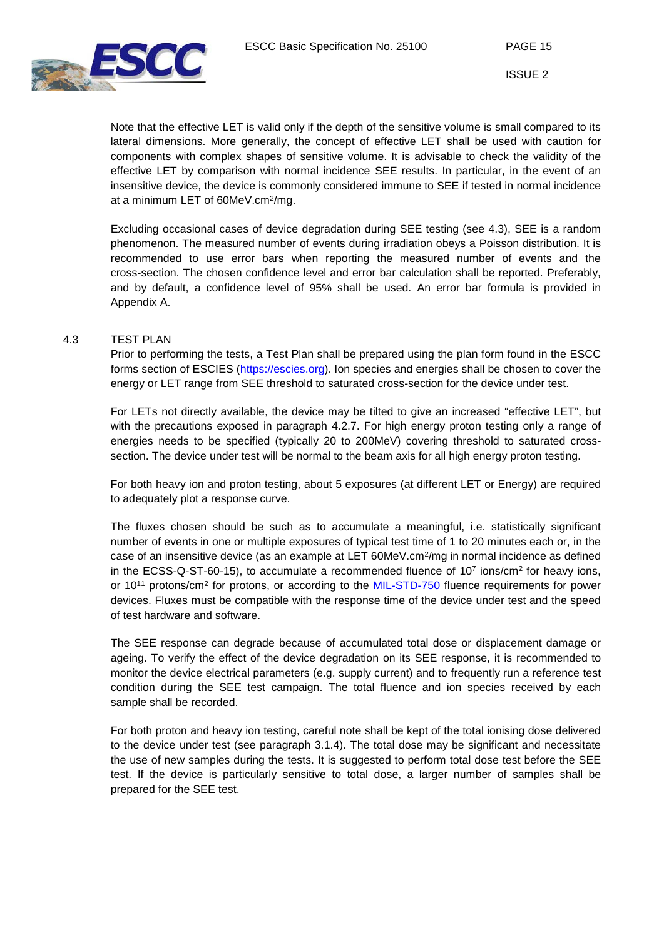

Note that the effective LET is valid only if the depth of the sensitive volume is small compared to its lateral dimensions. More generally, the concept of effective LET shall be used with caution for components with complex shapes of sensitive volume. It is advisable to check the validity of the effective LET by comparison with normal incidence SEE results. In particular, in the event of an insensitive device, the device is commonly considered immune to SEE if tested in normal incidence at a minimum LET of 60MeV.cm2/mg.

Excluding occasional cases of device degradation during SEE testing (see 4.3), SEE is a random phenomenon. The measured number of events during irradiation obeys a Poisson distribution. It is recommended to use error bars when reporting the measured number of events and the cross-section. The chosen confidence level and error bar calculation shall be reported. Preferably, and by default, a confidence level of 95% shall be used. An error bar formula is provided in Appendix A.

#### 4.3 TEST PLAN

<span id="page-14-0"></span>Prior to performing the tests, a Test Plan shall be prepared using the plan form found in the ESCC forms section of ESCIES (https://escies.org). Ion species and energies shall be chosen to cover the energy or LET range from SEE threshold to saturated cross-section for the device under test.

For LETs not directly available, the device may be tilted to give an increased "effective LET", but with the precautions exposed in paragraph [4.2.7.](#page-13-0) For high energy proton testing only a range of energies needs to be specified (typically 20 to 200MeV) covering threshold to saturated crosssection. The device under test will be normal to the beam axis for all high energy proton testing.

For both heavy ion and proton testing, about 5 exposures (at different LET or Energy) are required to adequately plot a response curve.

The fluxes chosen should be such as to accumulate a meaningful, i.e. statistically significant number of events in one or multiple exposures of typical test time of 1 to 20 minutes each or, in the case of an insensitive device (as an example at LET 60MeV.cm<sup>2</sup>/mg in normal incidence as defined in the ECSS-Q-ST-60-15), to accumulate a recommended fluence of  $10<sup>7</sup>$  ions/cm<sup>2</sup> for heavy ions, or 10<sup>11</sup> protons/cm<sup>2</sup> for protons, or according to the [MIL-STD-750](http://www.landandmaritime.dla.mil/programs/milspec/ListDocs.aspx?BasicDoc=MIL-STD-750) fluence requirements for power devices. Fluxes must be compatible with the response time of the device under test and the speed of test hardware and software.

The SEE response can degrade because of accumulated total dose or displacement damage or ageing. To verify the effect of the device degradation on its SEE response, it is recommended to monitor the device electrical parameters (e.g. supply current) and to frequently run a reference test condition during the SEE test campaign. The total fluence and ion species received by each sample shall be recorded.

For both proton and heavy ion testing, careful note shall be kept of the total ionising dose delivered to the device under test (see paragraph [3.1.4\)](#page-9-0). The total dose may be significant and necessitate the use of new samples during the tests. It is suggested to perform total dose test before the SEE test. If the device is particularly sensitive to total dose, a larger number of samples shall be prepared for the SEE test.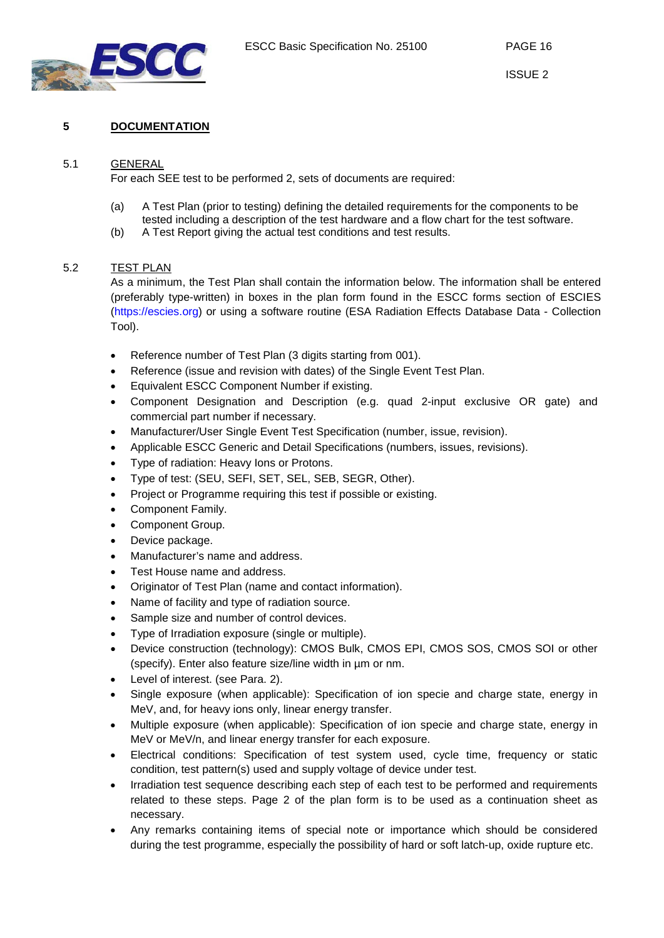

## <span id="page-15-0"></span>**5 DOCUMENTATION**

#### 5.1 GENERAL

<span id="page-15-1"></span>For each SEE test to be performed 2, sets of documents are required:

- (a) A Test Plan (prior to testing) defining the detailed requirements for the components to be tested including a description of the test hardware and a flow chart for the test software.
- <span id="page-15-2"></span>(b) A Test Report giving the actual test conditions and test results.

#### 5.2 TEST PLAN

As a minimum, the Test Plan shall contain the information below. The information shall be entered (preferably type-written) in boxes in the plan form found in the ESCC forms section of ESCIES [\(https://escies.org\)](https://escies.org/) or using a software routine (ESA Radiation Effects Database Data - Collection Tool).

- Reference number of Test Plan (3 digits starting from 001).
- Reference (issue and revision with dates) of the Single Event Test Plan.
- Equivalent ESCC Component Number if existing.
- Component Designation and Description (e.g. quad 2-input exclusive OR gate) and commercial part number if necessary.
- Manufacturer/User Single Event Test Specification (number, issue, revision).
- Applicable ESCC Generic and Detail Specifications (numbers, issues, revisions).
- Type of radiation: Heavy Ions or Protons.
- Type of test: (SEU, SEFI, SET, SEL, SEB, SEGR, Other).
- Project or Programme requiring this test if possible or existing.
- Component Family.
- Component Group.
- Device package.
- Manufacturer's name and address.
- Test House name and address.
- Originator of Test Plan (name and contact information).
- Name of facility and type of radiation source.
- Sample size and number of control devices.
- Type of Irradiation exposure (single or multiple).
- Device construction (technology): CMOS Bulk, CMOS EPI, CMOS SOS, CMOS SOI or other (specify). Enter also feature size/line width in µm or nm.
- Level of interest. (see Para. [2\)](#page-5-6).
- Single exposure (when applicable): Specification of ion specie and charge state, energy in MeV, and, for heavy ions only, linear energy transfer.
- Multiple exposure (when applicable): Specification of ion specie and charge state, energy in MeV or MeV/n, and linear energy transfer for each exposure.
- Electrical conditions: Specification of test system used, cycle time, frequency or static condition, test pattern(s) used and supply voltage of device under test.
- Irradiation test sequence describing each step of each test to be performed and requirements related to these steps. Page 2 of the plan form is to be used as a continuation sheet as necessary.
- Any remarks containing items of special note or importance which should be considered during the test programme, especially the possibility of hard or soft latch-up, oxide rupture etc.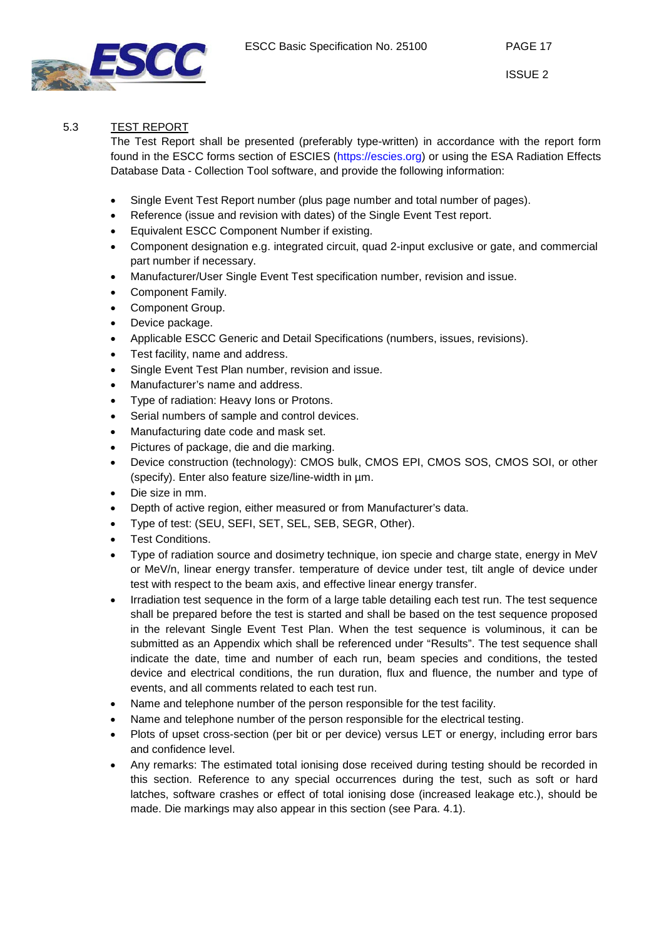

## 5.3 TEST REPORT

<span id="page-16-0"></span>The Test Report shall be presented (preferably type-written) in accordance with the report form found in the ESCC forms section of ESCIES [\(https://escies.org\)](https://escies.org/) or using the ESA Radiation Effects Database Data - Collection Tool software, and provide the following information:

- Single Event Test Report number (plus page number and total number of pages).
- Reference (issue and revision with dates) of the Single Event Test report.
- Equivalent ESCC Component Number if existing.
- Component designation e.g. integrated circuit, quad 2-input exclusive or gate, and commercial part number if necessary.
- Manufacturer/User Single Event Test specification number, revision and issue.
- Component Family.
- Component Group.
- Device package.
- Applicable ESCC Generic and Detail Specifications (numbers, issues, revisions).
- Test facility, name and address.
- Single Event Test Plan number, revision and issue.
- Manufacturer's name and address.
- Type of radiation: Heavy Ions or Protons.
- Serial numbers of sample and control devices.
- Manufacturing date code and mask set.
- Pictures of package, die and die marking.
- Device construction (technology): CMOS bulk, CMOS EPI, CMOS SOS, CMOS SOI, or other (specify). Enter also feature size/line-width in µm.
- Die size in mm.
- Depth of active region, either measured or from Manufacturer's data.
- Type of test: (SEU, SEFI, SET, SEL, SEB, SEGR, Other).
- Test Conditions.
- Type of radiation source and dosimetry technique, ion specie and charge state, energy in MeV or MeV/n, linear energy transfer. temperature of device under test, tilt angle of device under test with respect to the beam axis, and effective linear energy transfer.
- Irradiation test sequence in the form of a large table detailing each test run. The test sequence shall be prepared before the test is started and shall be based on the test sequence proposed in the relevant Single Event Test Plan. When the test sequence is voluminous, it can be submitted as an Appendix which shall be referenced under "Results". The test sequence shall indicate the date, time and number of each run, beam species and conditions, the tested device and electrical conditions, the run duration, flux and fluence, the number and type of events, and all comments related to each test run.
- Name and telephone number of the person responsible for the test facility.
- Name and telephone number of the person responsible for the electrical testing.
- Plots of upset cross-section (per bit or per device) versus LET or energy, including error bars and confidence level.
- Any remarks: The estimated total ionising dose received during testing should be recorded in this section. Reference to any special occurrences during the test, such as soft or hard latches, software crashes or effect of total ionising dose (increased leakage etc.), should be made. Die markings may also appear in this section (see Para. [4.1\)](#page-10-5).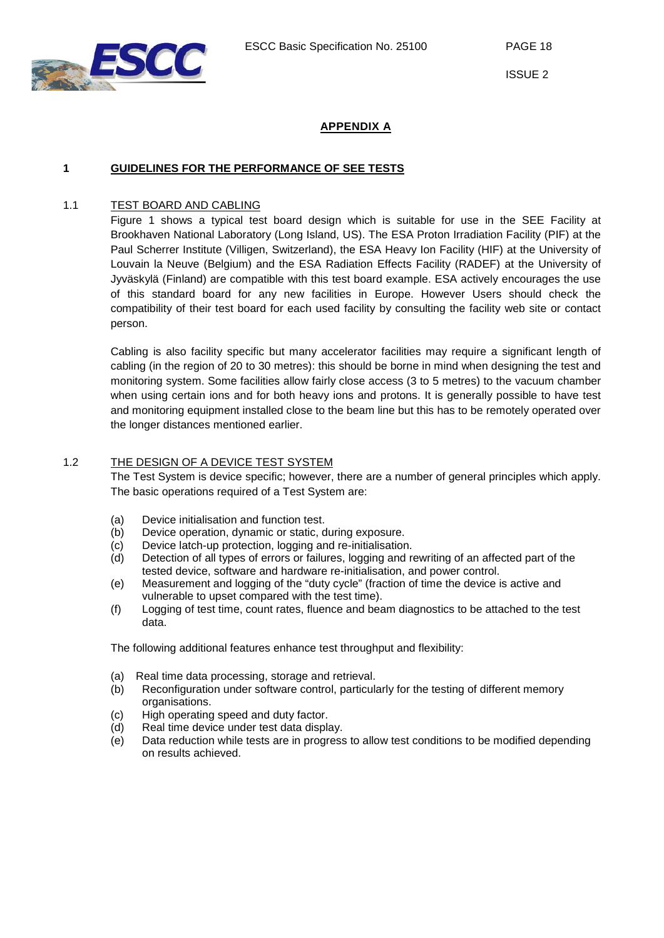

## **APPENDIX A**

## <span id="page-17-2"></span><span id="page-17-1"></span><span id="page-17-0"></span>**1 GUIDELINES FOR THE PERFORMANCE OF SEE TESTS**

## 1.1 TEST BOARD AND CABLING

[Figure 1](#page-18-1) shows a typical test board design which is suitable for use in the SEE Facility at Brookhaven National Laboratory (Long Island, US). The ESA Proton Irradiation Facility (PIF) at the Paul Scherrer Institute (Villigen, Switzerland), the ESA Heavy Ion Facility (HIF) at the University of Louvain la Neuve (Belgium) and the ESA Radiation Effects Facility (RADEF) at the University of Jyväskylä (Finland) are compatible with this test board example. ESA actively encourages the use of this standard board for any new facilities in Europe. However Users should check the compatibility of their test board for each used facility by consulting the facility web site or contact person.

Cabling is also facility specific but many accelerator facilities may require a significant length of cabling (in the region of 20 to 30 metres): this should be borne in mind when designing the test and monitoring system. Some facilities allow fairly close access (3 to 5 metres) to the vacuum chamber when using certain ions and for both heavy ions and protons. It is generally possible to have test and monitoring equipment installed close to the beam line but this has to be remotely operated over the longer distances mentioned earlier.

## <span id="page-17-3"></span>1.2 THE DESIGN OF A DEVICE TEST SYSTEM

The Test System is device specific; however, there are a number of general principles which apply. The basic operations required of a Test System are:

- (a) Device initialisation and function test.<br>(b) Device operation, dynamic or static, d
- Device operation, dynamic or static, during exposure.
- (c) Device latch-up protection, logging and re-initialisation.
- (d) Detection of all types of errors or failures, logging and rewriting of an affected part of the tested device, software and hardware re-initialisation, and power control.
- (e) Measurement and logging of the "duty cycle" (fraction of time the device is active and vulnerable to upset compared with the test time).
- (f) Logging of test time, count rates, fluence and beam diagnostics to be attached to the test data.

The following additional features enhance test throughput and flexibility:

- (a) Real time data processing, storage and retrieval.
- (b) Reconfiguration under software control, particularly for the testing of different memory organisations.
- (c) High operating speed and duty factor.
- (d) Real time device under test data display.
- (e) Data reduction while tests are in progress to allow test conditions to be modified depending on results achieved.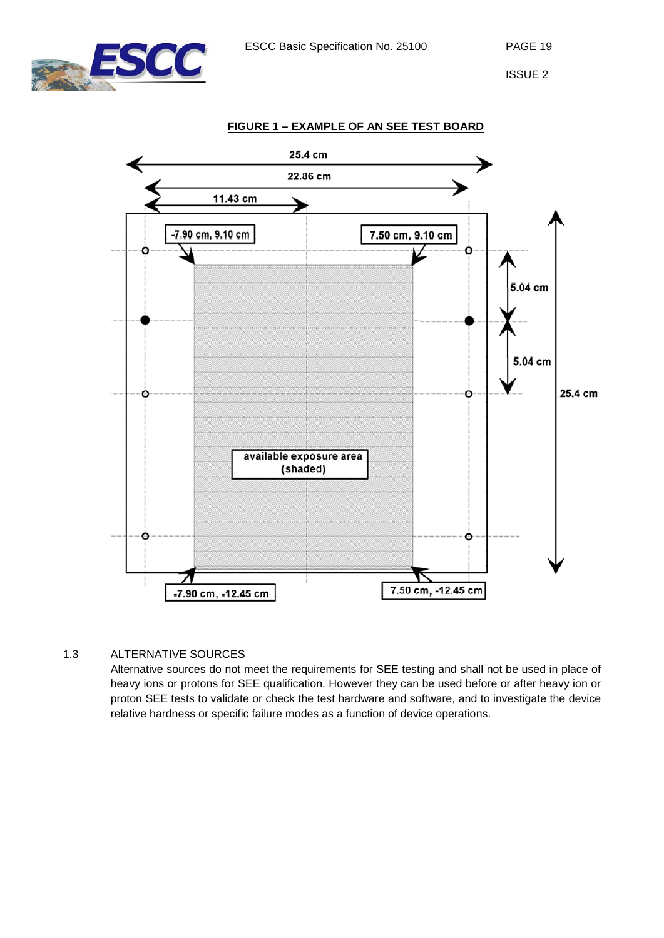

<span id="page-18-1"></span>

## <span id="page-18-0"></span>1.3 ALTERNATIVE SOURCES

Alternative sources do not meet the requirements for SEE testing and shall not be used in place of heavy ions or protons for SEE qualification. However they can be used before or after heavy ion or proton SEE tests to validate or check the test hardware and software, and to investigate the device relative hardness or specific failure modes as a function of device operations.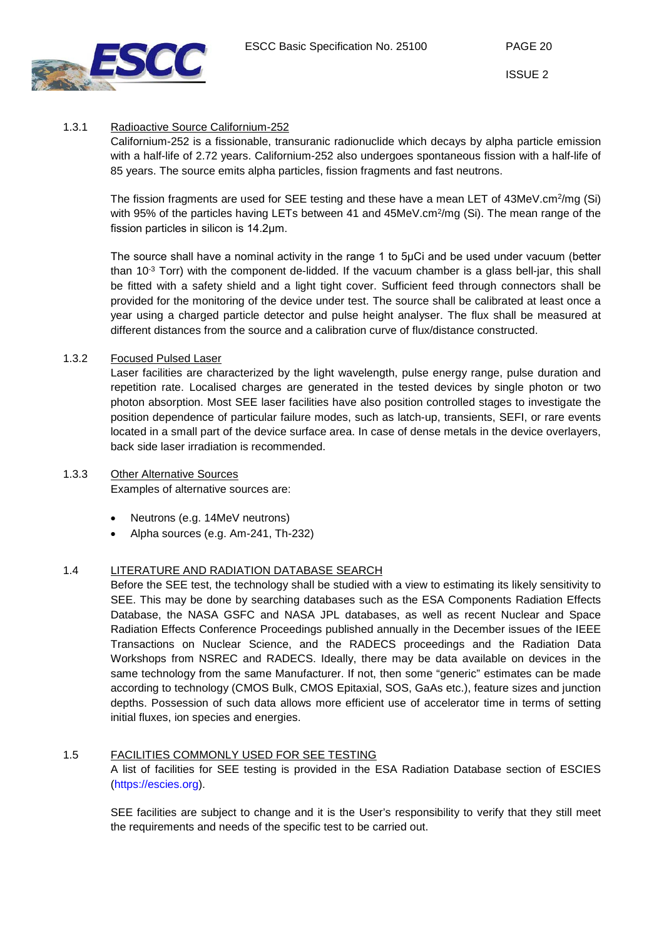ESCC Basic Specification No. 25100 PAGE 20



ISSUE 2

## <span id="page-19-0"></span>1.3.1 Radioactive Source Californium-252

Californium-252 is a fissionable, transuranic radionuclide which decays by alpha particle emission with a half-life of 2.72 years. Californium-252 also undergoes spontaneous fission with a half-life of 85 years. The source emits alpha particles, fission fragments and fast neutrons.

The fission fragments are used for SEE testing and these have a mean LET of 43MeV.cm<sup>2</sup>/mg (Si) with 95% of the particles having LETs between 41 and 45MeV.cm<sup>2</sup>/mg (Si). The mean range of the fission particles in silicon is 14.2μm.

The source shall have a nominal activity in the range 1 to 5μCi and be used under vacuum (better than 10 $3$  Torr) with the component de-lidded. If the vacuum chamber is a glass bell-jar, this shall be fitted with a safety shield and a light tight cover. Sufficient feed through connectors shall be provided for the monitoring of the device under test. The source shall be calibrated at least once a year using a charged particle detector and pulse height analyser. The flux shall be measured at different distances from the source and a calibration curve of flux/distance constructed.

## <span id="page-19-1"></span>1.3.2 Focused Pulsed Laser

Laser facilities are characterized by the light wavelength, pulse energy range, pulse duration and repetition rate. Localised charges are generated in the tested devices by single photon or two photon absorption. Most SEE laser facilities have also position controlled stages to investigate the position dependence of particular failure modes, such as latch-up, transients, SEFI, or rare events located in a small part of the device surface area. In case of dense metals in the device overlayers, back side laser irradiation is recommended.

## <span id="page-19-2"></span>1.3.3 Other Alternative Sources

Examples of alternative sources are:

- Neutrons (e.g. 14MeV neutrons)
- Alpha sources (e.g. Am-241, Th-232)

## <span id="page-19-3"></span>1.4 LITERATURE AND RADIATION DATABASE SEARCH

Before the SEE test, the technology shall be studied with a view to estimating its likely sensitivity to SEE. This may be done by searching databases such as the ESA Components Radiation Effects Database, the NASA GSFC and NASA JPL databases, as well as recent Nuclear and Space Radiation Effects Conference Proceedings published annually in the December issues of the IEEE Transactions on Nuclear Science, and the RADECS proceedings and the Radiation Data Workshops from NSREC and RADECS. Ideally, there may be data available on devices in the same technology from the same Manufacturer. If not, then some "generic" estimates can be made according to technology (CMOS Bulk, CMOS Epitaxial, SOS, GaAs etc.), feature sizes and junction depths. Possession of such data allows more efficient use of accelerator time in terms of setting initial fluxes, ion species and energies.

## <span id="page-19-4"></span>1.5 FACILITIES COMMONLY USED FOR SEE TESTING

A list of facilities for SEE testing is provided in the ESA Radiation Database section of ESCIES [\(https://escies.org\)](https://escies.org/).

SEE facilities are subject to change and it is the User's responsibility to verify that they still meet the requirements and needs of the specific test to be carried out.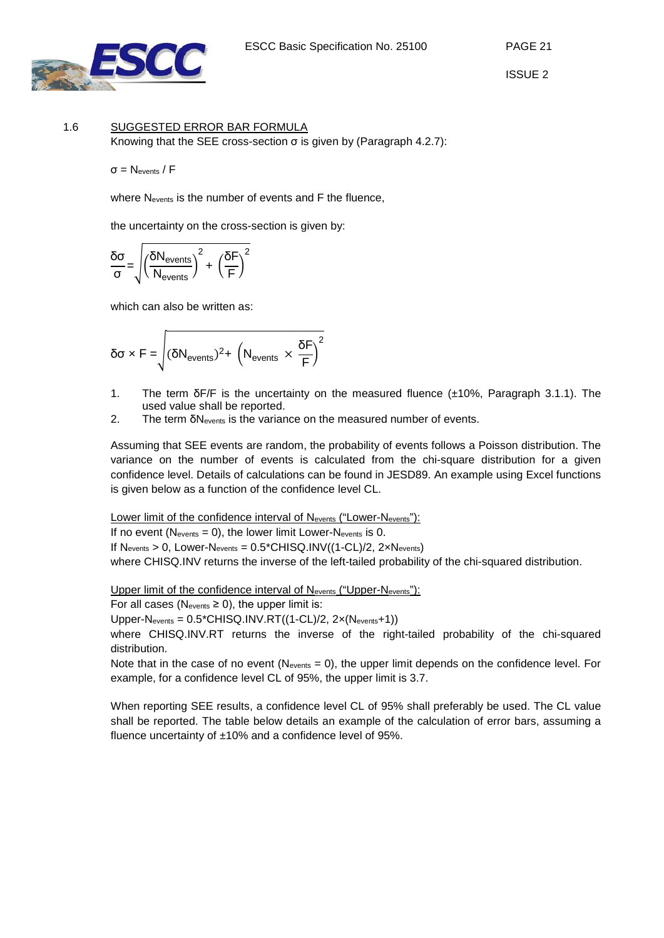

#### <span id="page-20-0"></span>1.6 SUGGESTED ERROR BAR FORMULA Knowing that the SEE cross-section  $\sigma$  is given by (Paragraph [4.2.7\)](#page-13-0):

σ = Nevents / F

where Nevents is the number of events and F the fluence,

the uncertainty on the cross-section is given by:

$$
\frac{\delta \sigma}{\sigma} \!=\! \sqrt{\left(\!\frac{\delta N_{events}}{N_{events}}\!\right)^2 + \,\left(\!\frac{\delta F}{F}\!\right)^2}
$$

which can also be written as:

$$
\delta \sigma \times F = \sqrt{(\delta N_{events})^2 + (N_{events} \times \frac{\delta F}{F})^2}
$$

- 1. The term δF/F is the uncertainty on the measured fluence (±10%, Paragraph [3.1.1\)](#page-8-2). The used value shall be reported.
- 2. The term δNevents is the variance on the measured number of events.

Assuming that SEE events are random, the probability of events follows a Poisson distribution. The variance on the number of events is calculated from the chi-square distribution for a given confidence level. Details of calculations can be found in JESD89. An example using Excel functions is given below as a function of the confidence level CL.

Lower limit of the confidence interval of N<sub>events</sub> ("Lower-N<sub>events</sub>"):

If no event ( $N_{events} = 0$ ), the lower limit Lower- $N_{events}$  is 0.

If  $N_{events} > 0$ , Lower- $N_{events} = 0.5$ \*CHISQ.INV((1-CL)/2, 2 $xN_{events}$ )

where CHISQ.INV returns the inverse of the left-tailed probability of the chi-squared distribution.

Upper limit of the confidence interval of Nevents ("Upper-Nevents"):

For all cases (Nevents  $\geq$  0), the upper limit is:

Upper-Nevents =  $0.5$ \*CHISQ.INV.RT $((1$ -CL $)/2$ ,  $2 \times (N_{events}+1))$ 

where CHISQ.INV.RT returns the inverse of the right-tailed probability of the chi-squared distribution.

Note that in the case of no event (Nevents = 0), the upper limit depends on the confidence level. For example, for a confidence level CL of 95%, the upper limit is 3.7.

When reporting SEE results, a confidence level CL of 95% shall preferably be used. The CL value shall be reported. The table below details an example of the calculation of error bars, assuming a fluence uncertainty of ±10% and a confidence level of 95%.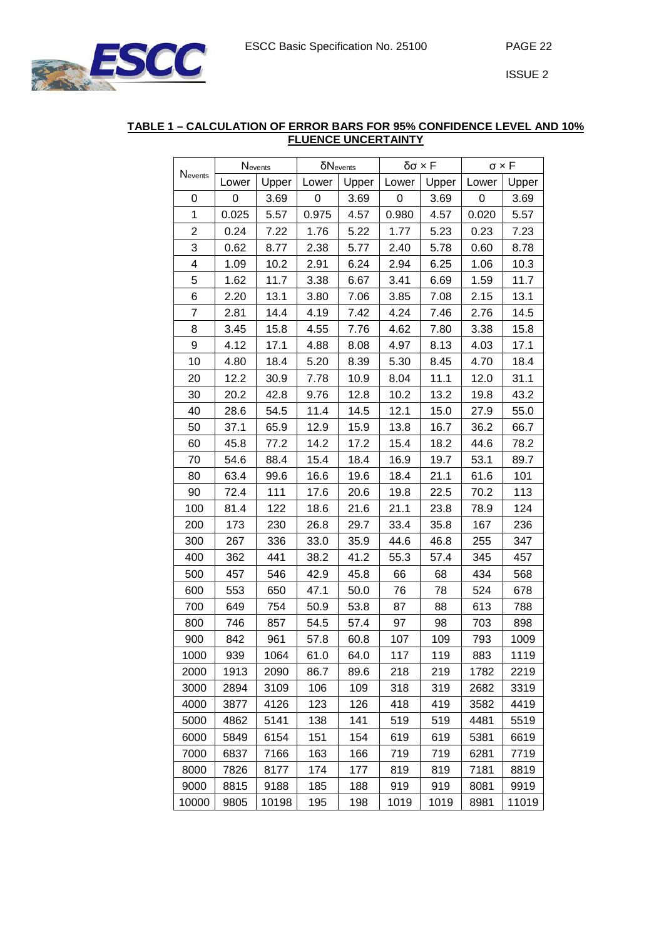

#### **TABLE 1 – CALCULATION OF ERROR BARS FOR 95% CONFIDENCE LEVEL AND 10% FLUENCE UNCERTAINTY**

| Nevents        | Nevents |       |                  | $\delta N_{events}$ | δσ × F |       | $\sigma \times F$ |       |
|----------------|---------|-------|------------------|---------------------|--------|-------|-------------------|-------|
|                | Lower   | Upper | Lower            | Upper               | Lower  | Upper | Lower             | Upper |
| 0              | 0       | 3.69  | $\boldsymbol{0}$ | 3.69                | 0      | 3.69  | 0                 | 3.69  |
| 1              | 0.025   | 5.57  | 0.975            | 4.57                | 0.980  | 4.57  | 0.020             | 5.57  |
| $\overline{2}$ | 0.24    | 7.22  | 1.76             | 5.22                | 1.77   | 5.23  | 0.23              | 7.23  |
| 3              | 0.62    | 8.77  | 2.38             | 5.77                | 2.40   | 5.78  | 0.60              | 8.78  |
| 4              | 1.09    | 10.2  | 2.91             | 6.24                | 2.94   | 6.25  | 1.06              | 10.3  |
| 5              | 1.62    | 11.7  | 3.38             | 6.67                | 3.41   | 6.69  | 1.59              | 11.7  |
| 6              | 2.20    | 13.1  | 3.80             | 7.06                | 3.85   | 7.08  | 2.15              | 13.1  |
| $\overline{7}$ | 2.81    | 14.4  | 4.19             | 7.42                | 4.24   | 7.46  | 2.76              | 14.5  |
| 8              | 3.45    | 15.8  | 4.55             | 7.76                | 4.62   | 7.80  | 3.38              | 15.8  |
| 9              | 4.12    | 17.1  | 4.88             | 8.08                | 4.97   | 8.13  | 4.03              | 17.1  |
| 10             | 4.80    | 18.4  | 5.20             | 8.39                | 5.30   | 8.45  | 4.70              | 18.4  |
| 20             | 12.2    | 30.9  | 7.78             | 10.9                | 8.04   | 11.1  | 12.0              | 31.1  |
| 30             | 20.2    | 42.8  | 9.76             | 12.8                | 10.2   | 13.2  | 19.8              | 43.2  |
| 40             | 28.6    | 54.5  | 11.4             | 14.5                | 12.1   | 15.0  | 27.9              | 55.0  |
| 50             | 37.1    | 65.9  | 12.9             | 15.9                | 13.8   | 16.7  | 36.2              | 66.7  |
| 60             | 45.8    | 77.2  | 14.2             | 17.2                | 15.4   | 18.2  | 44.6              | 78.2  |
| 70             | 54.6    | 88.4  | 15.4             | 18.4                | 16.9   | 19.7  | 53.1              | 89.7  |
| 80             | 63.4    | 99.6  | 16.6             | 19.6                | 18.4   | 21.1  | 61.6              | 101   |
| 90             | 72.4    | 111   | 17.6             | 20.6                | 19.8   | 22.5  | 70.2              | 113   |
| 100            | 81.4    | 122   | 18.6             | 21.6                | 21.1   | 23.8  | 78.9              | 124   |
| 200            | 173     | 230   | 26.8             | 29.7                | 33.4   | 35.8  | 167               | 236   |
| 300            | 267     | 336   | 33.0             | 35.9                | 44.6   | 46.8  | 255               | 347   |
| 400            | 362     | 441   | 38.2             | 41.2                | 55.3   | 57.4  | 345               | 457   |
| 500            | 457     | 546   | 42.9             | 45.8                | 66     | 68    | 434               | 568   |
| 600            | 553     | 650   | 47.1             | 50.0                | 76     | 78    | 524               | 678   |
| 700            | 649     | 754   | 50.9             | 53.8                | 87     | 88    | 613               | 788   |
| 800            | 746     | 857   | 54.5             | 57.4                | 97     | 98    | 703               | 898   |
| 900            | 842     | 961   | 57.8             | 60.8                | 107    | 109   | 793               | 1009  |
| 1000           | 939     | 1064  | 61.0             | 64.0                | 117    | 119   | 883               | 1119  |
| 2000           | 1913    | 2090  | 86.7             | 89.6                | 218    | 219   | 1782              | 2219  |
| 3000           | 2894    | 3109  | 106              | 109                 | 318    | 319   | 2682              | 3319  |
| 4000           | 3877    | 4126  | 123              | 126                 | 418    | 419   | 3582              | 4419  |
| 5000           | 4862    | 5141  | 138              | 141                 | 519    | 519   | 4481              | 5519  |
| 6000           | 5849    | 6154  | 151              | 154                 | 619    | 619   | 5381              | 6619  |
| 7000           | 6837    | 7166  | 163              | 166                 | 719    | 719   | 6281              | 7719  |
| 8000           | 7826    | 8177  | 174              | 177                 | 819    | 819   | 7181              | 8819  |
| 9000           | 8815    | 9188  | 185              | 188                 | 919    | 919   | 8081              | 9919  |
| 10000          | 9805    | 10198 | 195              | 198                 | 1019   | 1019  | 8981              | 11019 |